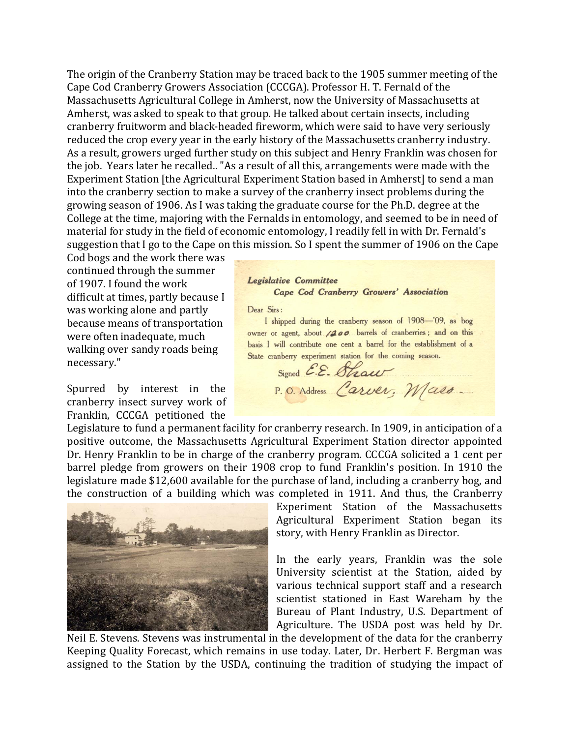The origin of the Cranberry Station may be traced back to the 1905 summer meeting of the Cape Cod Cranberry Growers Association (CCCGA). Professor H. T. Fernald of the Massachusetts Agricultural College in Amherst, now the University of Massachusetts at Amherst, was asked to speak to that group. He talked about certain insects, including cranberry fruitworm and black‐headed fireworm, which were said to have very seriously reduced the crop every year in the early history of the Massachusetts cranberry industry. As a result, growers urged further study on this subject and Henry Franklin was chosen for the job. Years later he recalled.. "As a result of all this, arrangements were made with the Experiment Station [the Agricultural Experiment Station based in Amherst] to send a man into the cranberry section to make a survey of the cranberry insect problems during the growing season of 1906. As I was taking the graduate course for the Ph.D. degree at the College at the time, majoring with the Fernalds in entomology, and seemed to be in need of material for study in the field of economic entomology, I readily fell in with Dr. Fernald's suggestion that I go to the Cape on this mission. So I spent the summer of 1906 on the Cape

Cod bogs and the work there was continued through the summer of 1907. I found the work difficult at times, partly because I was working alone and partly because means of transportation were often inadequate, much walking over sandy roads being necessary."

Spurred by interest in the cranberry insect survey work of Franklin, CCCGA petitioned the

Legislative Committee Cape Cod Cranberry Growers' Association

Dear Sirs:

I shipped during the cranberry season of 1908-'09, as bog owner or agent, about /200 barrels of cranberries; and on this basis I will contribute one cent a barrel for the establishment of a State cranberry experiment station for the coming season.

Signed E.E. Shaw P.O. Address Carver, Mass.

Legislature to fund a permanent facility for cranberry research. In 1909, in anticipation of a positive outcome, the Massachusetts Agricultural Experiment Station director appointed Dr. Henry Franklin to be in charge of the cranberry program. CCCGA solicited a 1 cent per barrel pledge from growers on their 1908 crop to fund Franklin's position. In 1910 the legislature made \$12,600 available for the purchase of land, including a cranberry bog, and the construction of a building which was completed in 1911. And thus, the Cranberry



Experiment Station of the Massachusetts Agricultural Experiment Station began its story, with Henry Franklin as Director.

In the early years, Franklin was the sole University scientist at the Station, aided by various technical support staff and a research scientist stationed in East Wareham by the Bureau of Plant Industry, U.S. Department of Agriculture. The USDA post was held by Dr.

Neil E. Stevens. Stevens was instrumental in the development of the data for the cranberry Keeping Quality Forecast, which remains in use today. Later, Dr. Herbert F. Bergman was assigned to the Station by the USDA, continuing the tradition of studying the impact of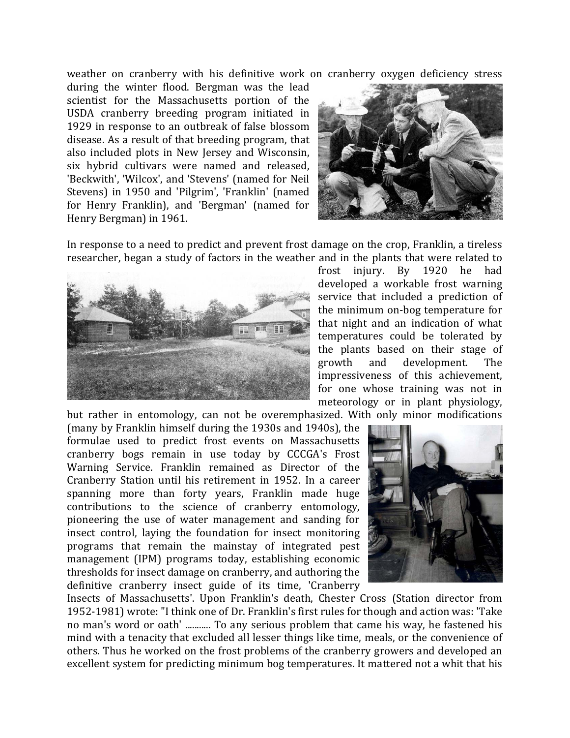weather on cranberry with his definitive work on cranberry oxygen deficiency stress

during the winter flood. Bergman was the lead scientist for the Massachusetts portion of the USDA cranberry breeding program initiated in 1929 in response to an outbreak of false blossom disease. As a result of that breeding program, that also included plots in New Jersey and Wisconsin, six hybrid cultivars were named and released, 'Beckwith', 'Wilcox', and 'Stevens' (named for Neil Stevens) in 1950 and 'Pilgrim', 'Franklin' (named for Henry Franklin), and 'Bergman' (named for Henry Bergman) in 1961.



In response to a need to predict and prevent frost damage on the crop, Franklin, a tireless researcher, began a study of factors in the weather and in the plants that were related to



frost injury. By 1920 he had developed a workable frost warning service that included a prediction of the minimum on‐bog temperature for that night and an indication of what temperatures could be tolerated by the plants based on their stage of growth and development. The impressiveness of this achievement, for one whose training was not in meteorology or in plant physiology,

but rather in entomology, can not be overemphasized. With only minor modifications

(many by Franklin himself during the 1930s and 1940s), the formulae used to predict frost events on Massachusetts cranberry bogs remain in use today by CCCGA's Frost Warning Service. Franklin remained as Director of the Cranberry Station until his retirement in 1952. In a career spanning more than forty years, Franklin made huge contributions to the science of cranberry entomology, pioneering the use of water management and sanding for insect control, laying the foundation for insect monitoring programs that remain the mainstay of integrated pest management (IPM) programs today, establishing economic thresholds for insect damage on cranberry, and authoring the definitive cranberry insect guide of its time, 'Cranberry



Insects of Massachusetts'. Upon Franklin's death, Chester Cross (Station director from 1952‐1981) wrote: "I think one of Dr. Franklin's first rules for though and action was: 'Take no man's word or oath' ........... To any serious problem that came his way, he fastened his mind with a tenacity that excluded all lesser things like time, meals, or the convenience of others. Thus he worked on the frost problems of the cranberry growers and developed an excellent system for predicting minimum bog temperatures. It mattered not a whit that his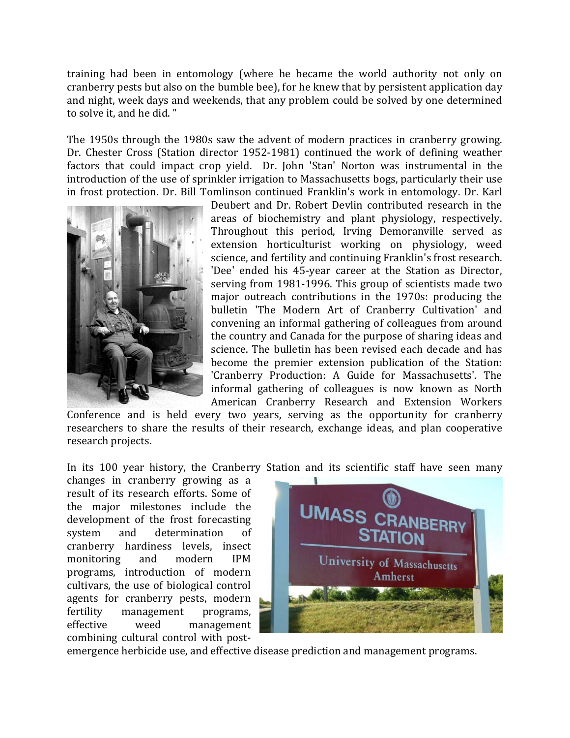training had been in entomology (where he became the world authority not only on cranberry pests but also on the bumble bee), for he knew that by persistent application day and night, week days and weekends, that any problem could be solved by one determined to solve it, and he did. "

The 1950s through the 1980s saw the advent of modern practices in cranberry growing. Dr. Chester Cross (Station director 1952-1981) continued the work of defining weather factors that could impact crop yield. Dr. John 'Stan' Norton was instrumental in the introduction of the use of sprinkler irrigation to Massachusetts bogs, particularly their use in frost protection. Dr. Bill Tomlinson continued Franklin's work in entomology. Dr. Karl



Deubert and Dr. Robert Devlin contributed research in the areas of biochemistry and plant physiology, respectively. Throughout this period, Irving Demoranville served as extension horticulturist working on physiology, weed science, and fertility and continuing Franklin's frost research. 'Dee' ended his 45‐year career at the Station as Director, serving from 1981-1996. This group of scientists made two major outreach contributions in the 1970s: producing the bulletin 'The Modern Art of Cranberry Cultivation' and convening an informal gathering of colleagues from around the country and Canada for the purpose of sharing ideas and science. The bulletin has been revised each decade and has become the premier extension publication of the Station: 'Cranberry Production: A Guide for Massachusetts'. The informal gathering of colleagues is now known as North American Cranberry Research and Extension Workers

Conference and is held every two years, serving as the opportunity for cranberry researchers to share the results of their research, exchange ideas, and plan cooperative research projects.

In its 100 year history, the Cranberry Station and its scientific staff have seen many

changes in cranberry growing as a result of its research efforts. Some of the major milestones include the development of the frost forecasting system and determination of cranberry hardiness levels, insect monitoring and modern IPM programs, introduction of modern cultivars, the use of biological control agents for cranberry pests, modern fertility management programs, effective weed management combining cultural control with post-



emergence herbicide use, and effective disease prediction and management programs.